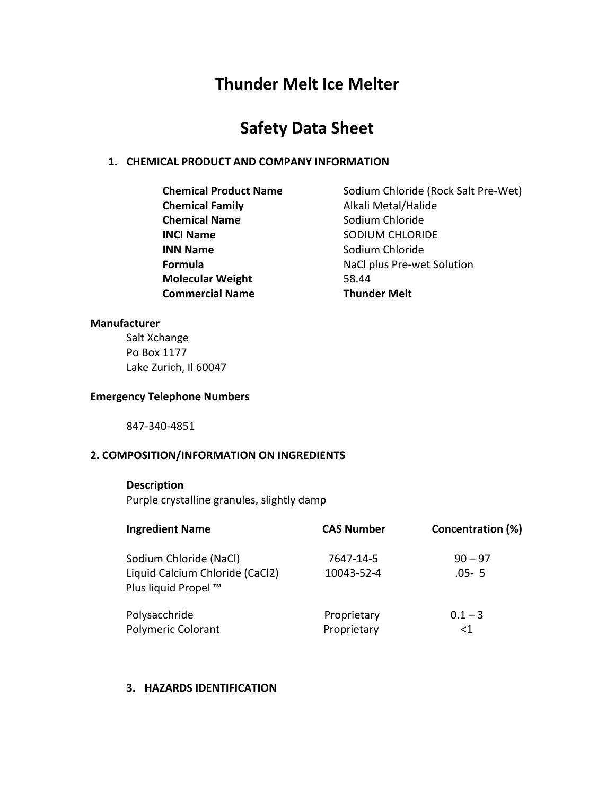# **Thunder Melt Ice Melter**

# **Safety Data Sheet**

# 1. **CHEMICAL PRODUCT AND COMPANY INFORMATION**

**Chemical Family Alkali Metal/Halide Chemical Name** Sodium Chloride **INCI Name** SODIUM CHLORIDE **INN Name** Sodium Chloride **Molecular Weight** 58.44 **Commercial Name Thunder Melt** 

**Chemical Product Name** Sodium Chloride (Rock Salt Pre-Wet) **Formula NaCl** plus Pre-wet Solution

## **Manufacturer**

Salt Xchange Po Box 1177 Lake Zurich, Il 60047

## **Emergency Telephone Numbers**

847-340-4851

# **2. COMPOSITION/INFORMATION ON INGREDIENTS**

## **Description**

Purple crystalline granules, slightly damp

| <b>Ingredient Name</b>                                                            | <b>CAS Number</b>          | Concentration (%)      |
|-----------------------------------------------------------------------------------|----------------------------|------------------------|
| Sodium Chloride (NaCl)<br>Liquid Calcium Chloride (CaCl2)<br>Plus liquid Propel ™ | 7647-14-5<br>10043-52-4    | $90 - 97$<br>$.05 - 5$ |
| Polysacchride<br><b>Polymeric Colorant</b>                                        | Proprietary<br>Proprietary | $0.1 - 3$<br>$\leq$ 1  |

## **3. HAZARDS IDENTIFICATION**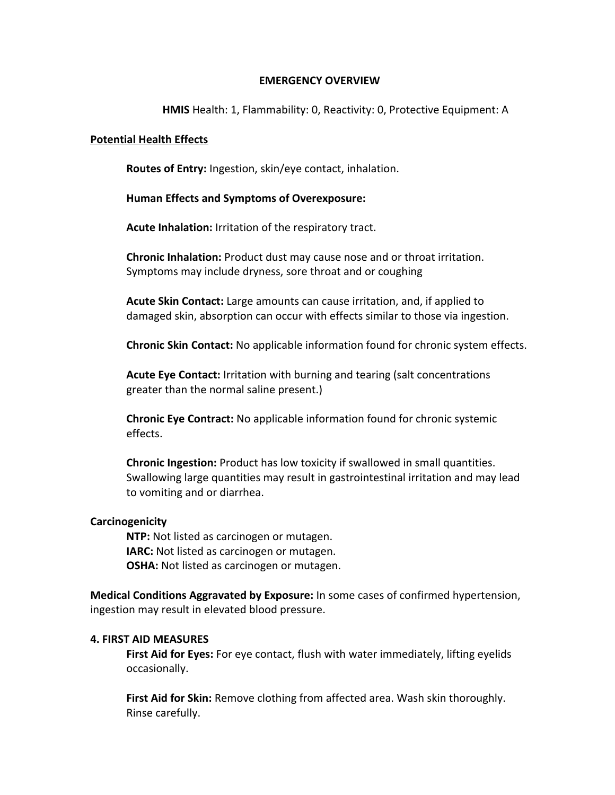## **EMERGENCY OVERVIEW**

## **HMIS** Health: 1, Flammability: 0, Reactivity: 0, Protective Equipment: A

#### **Potential Health Effects**

**Routes of Entry:** Ingestion, skin/eye contact, inhalation.

## **Human Effects and Symptoms of Overexposure:**

**Acute Inhalation:** Irritation of the respiratory tract.

**Chronic Inhalation:** Product dust may cause nose and or throat irritation. Symptoms may include dryness, sore throat and or coughing

**Acute Skin Contact:** Large amounts can cause irritation, and, if applied to damaged skin, absorption can occur with effects similar to those via ingestion.

**Chronic Skin Contact:** No applicable information found for chronic system effects.

**Acute Eye Contact:** Irritation with burning and tearing (salt concentrations greater than the normal saline present.)

**Chronic Eye Contract:** No applicable information found for chronic systemic effects.

**Chronic Ingestion:** Product has low toxicity if swallowed in small quantities. Swallowing large quantities may result in gastrointestinal irritation and may lead to vomiting and or diarrhea.

## **Carcinogenicity**

**NTP:** Not listed as carcinogen or mutagen. **IARC:** Not listed as carcinogen or mutagen. **OSHA:** Not listed as carcinogen or mutagen.

**Medical Conditions Aggravated by Exposure:** In some cases of confirmed hypertension, ingestion may result in elevated blood pressure.

## **4. FIRST AID MEASURES**

**First Aid for Eyes:** For eye contact, flush with water immediately, lifting eyelids occasionally.

**First Aid for Skin:** Remove clothing from affected area. Wash skin thoroughly. Rinse carefully.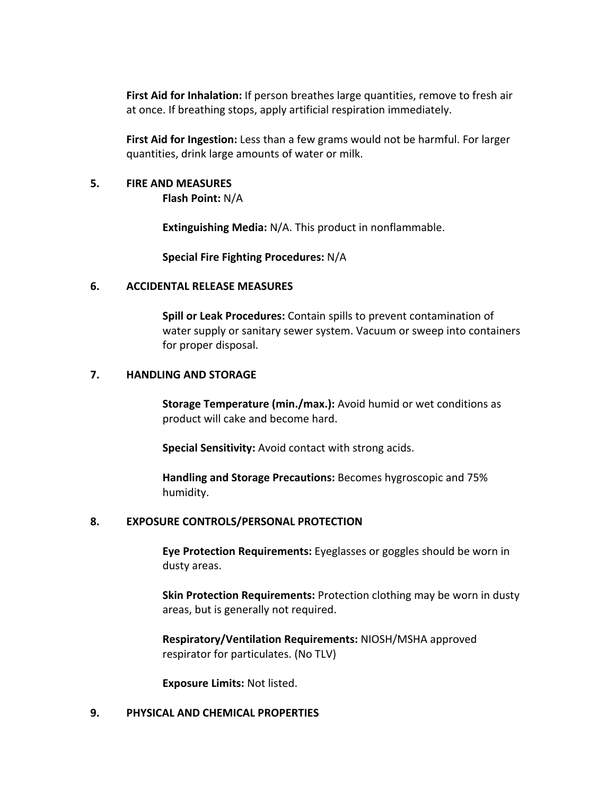**First Aid for Inhalation:** If person breathes large quantities, remove to fresh air at once. If breathing stops, apply artificial respiration immediately.

**First Aid for Ingestion:** Less than a few grams would not be harmful. For larger quantities, drink large amounts of water or milk.

## **5. FIRE AND MEASURES**

**Flash Point:** N/A

**Extinguishing Media:** N/A. This product in nonflammable.

**Special Fire Fighting Procedures: N/A** 

## **6. ACCIDENTAL RELEASE MEASURES**

**Spill or Leak Procedures:** Contain spills to prevent contamination of water supply or sanitary sewer system. Vacuum or sweep into containers for proper disposal.

## **7. HANDLING AND STORAGE**

**Storage Temperature (min./max.):** Avoid humid or wet conditions as product will cake and become hard.

**Special Sensitivity:** Avoid contact with strong acids.

**Handling and Storage Precautions:** Becomes hygroscopic and 75% humidity.

## 8. **EXPOSURE CONTROLS/PERSONAL PROTECTION**

**Eye Protection Requirements:** Eyeglasses or goggles should be worn in dusty areas.

**Skin Protection Requirements: Protection clothing may be worn in dusty** areas, but is generally not required.

**Respiratory/Ventilation Requirements:** NIOSH/MSHA approved respirator for particulates. (No TLV)

**Exposure Limits: Not listed.** 

# **9. PHYSICAL AND CHEMICAL PROPERTIES**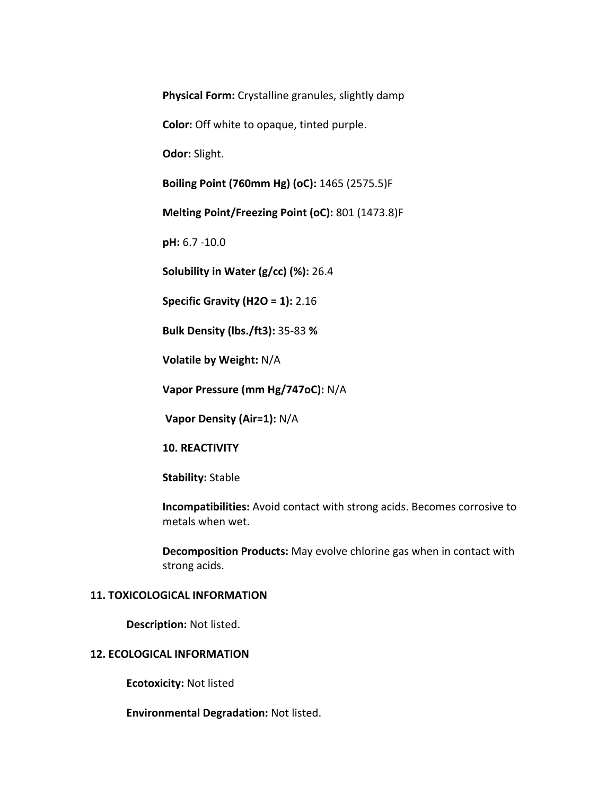**Physical Form:** Crystalline granules, slightly damp

**Color:** Off white to opaque, tinted purple.

**Odor:** Slight.

**Boiling Point (760mm Hg) (oC):** 1465 (2575.5)F

**Melting Point/Freezing Point (oC):** 801 (1473.8)F

**pH:** 6.7 -10.0

**Solubility in Water (g/cc) (%): 26.4** 

**Specific Gravity (H2O = 1):** 2.16

**Bulk Density (lbs./ft3):** 35-83 **%** 

**Volatile by Weight: N/A** 

**Vapor Pressure (mm Hg/747oC):** N/A

**Vapor Density (Air=1): N/A** 

**10. REACTIVITY** 

**Stability:** Stable

**Incompatibilities:** Avoid contact with strong acids. Becomes corrosive to metals when wet.

**Decomposition Products:** May evolve chlorine gas when in contact with strong acids.

## **11. TOXICOLOGICAL INFORMATION**

**Description: Not listed.** 

## **12. ECOLOGICAL INFORMATION**

**Ecotoxicity: Not listed** 

**Environmental Degradation: Not listed.**